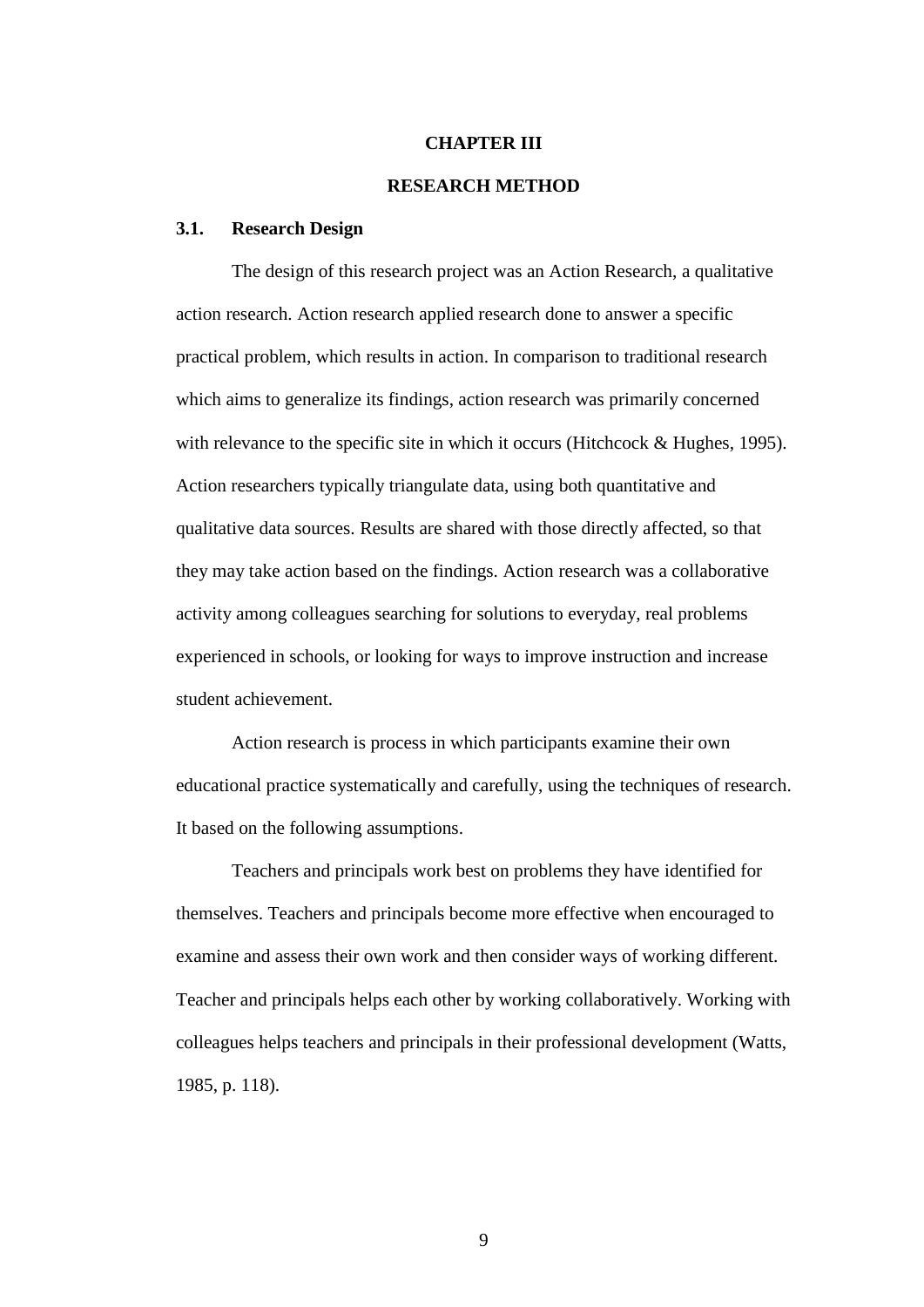#### **CHAPTER III**

## **RESEARCH METHOD**

#### **3.1. Research Design**

The design of this research project was an Action Research, a qualitative action research. Action research applied research done to answer a specific practical problem, which results in action. In comparison to traditional research which aims to generalize its findings, action research was primarily concerned with relevance to the specific site in which it occurs (Hitchcock & Hughes, 1995). Action researchers typically triangulate data, using both quantitative and qualitative data sources. Results are shared with those directly affected, so that they may take action based on the findings. Action research was a collaborative activity among colleagues searching for solutions to everyday, real problems experienced in schools, or looking for ways to improve instruction and increase student achievement.

Action research is process in which participants examine their own educational practice systematically and carefully, using the techniques of research. It based on the following assumptions.

Teachers and principals work best on problems they have identified for themselves. Teachers and principals become more effective when encouraged to examine and assess their own work and then consider ways of working different. Teacher and principals helps each other by working collaboratively. Working with colleagues helps teachers and principals in their professional development (Watts, 1985, p. 118).

9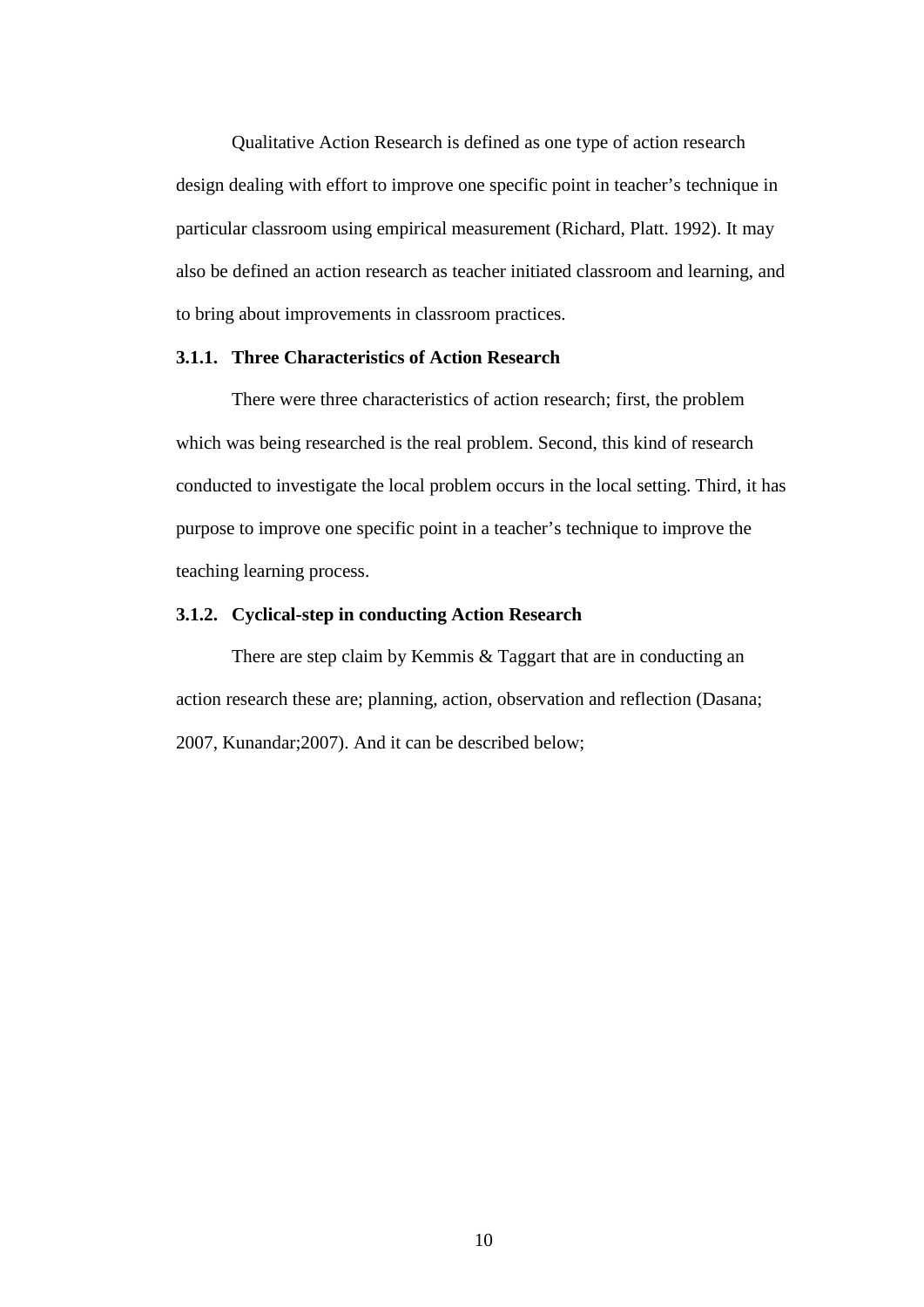Qualitative Action Research is defined as one type of action research design dealing with effort to improve one specific point in teacher's technique in particular classroom using empirical measurement (Richard, Platt. 1992). It may also be defined an action research as teacher initiated classroom and learning, and to bring about improvements in classroom practices.

## **3.1.1. Three Characteristics of Action Research**

There were three characteristics of action research; first, the problem which was being researched is the real problem. Second, this kind of research conducted to investigate the local problem occurs in the local setting. Third, it has purpose to improve one specific point in a teacher's technique to improve the teaching learning process.

#### **3.1.2. Cyclical-step in conducting Action Research**

There are step claim by Kemmis & Taggart that are in conducting an action research these are; planning, action, observation and reflection (Dasana; 2007, Kunandar;2007). And it can be described below;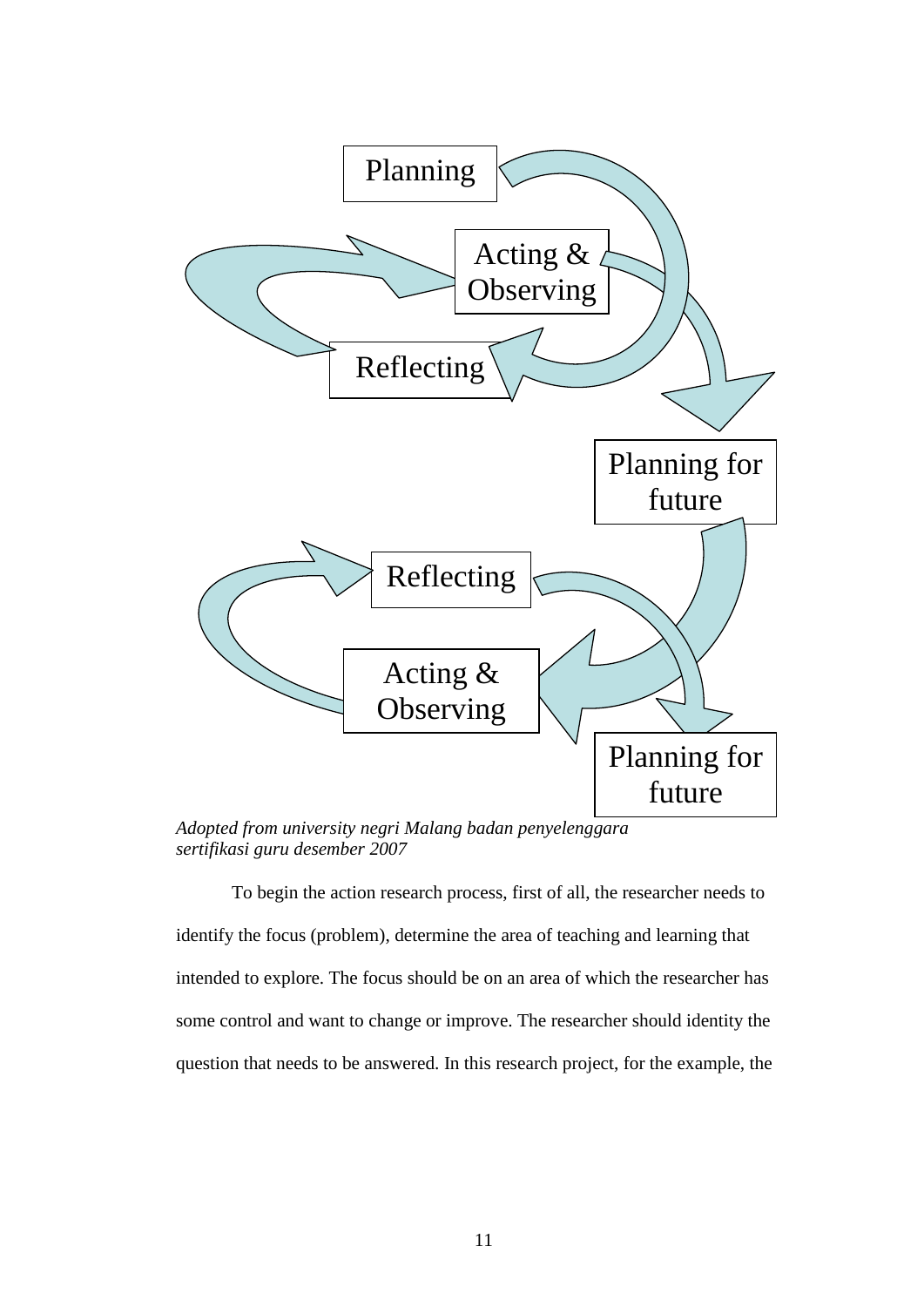

*Adopted from university negri Malang badan penyelenggara sertifikasi guru desember 2007*

To begin the action research process, first of all, the researcher needs to identify the focus (problem), determine the area of teaching and learning that intended to explore. The focus should be on an area of which the researcher has some control and want to change or improve. The researcher should identity the question that needs to be answered. In this research project, for the example, the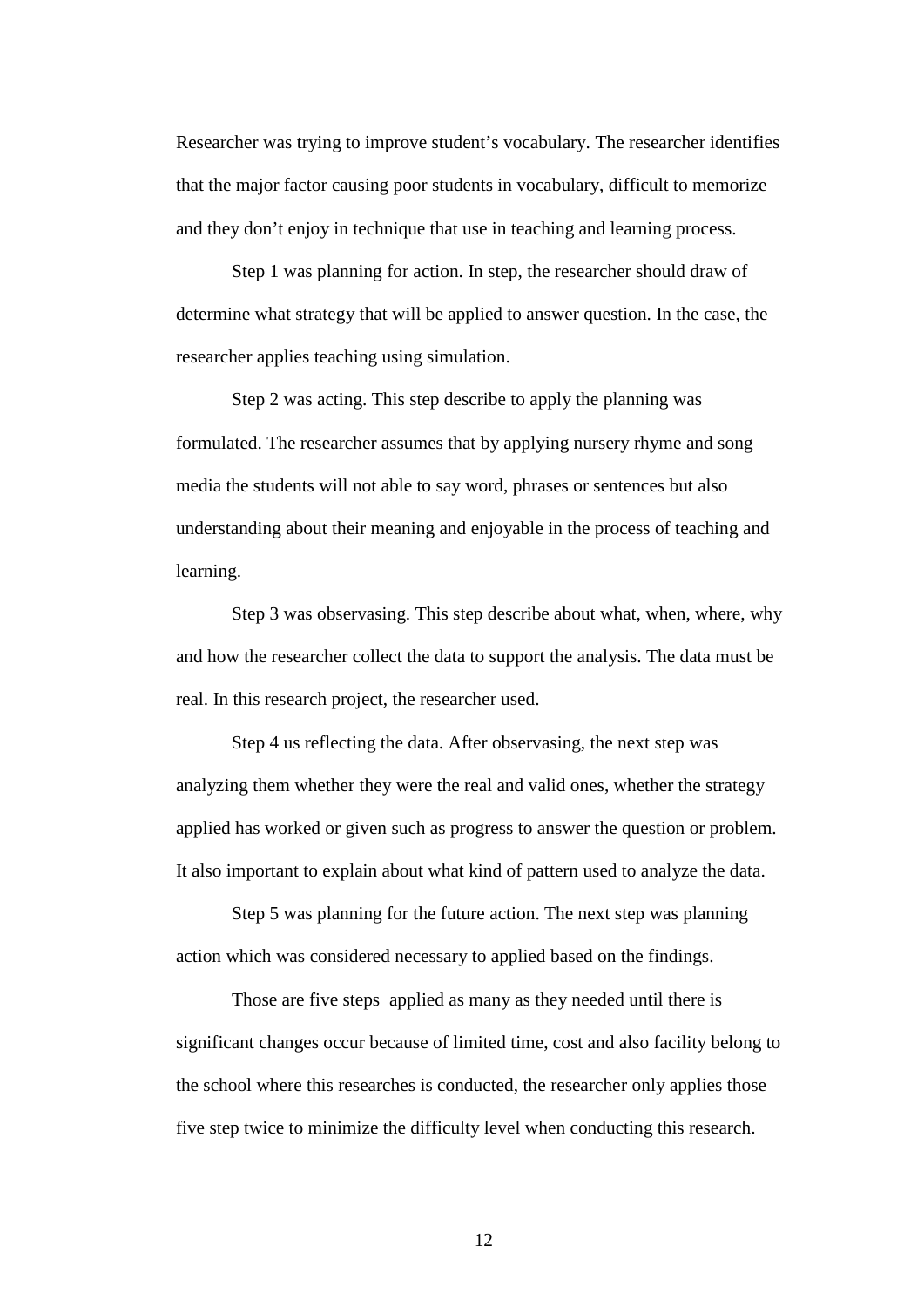Researcher was trying to improve student's vocabulary. The researcher identifies that the major factor causing poor students in vocabulary, difficult to memorize and they don't enjoy in technique that use in teaching and learning process.

Step 1 was planning for action. In step, the researcher should draw of determine what strategy that will be applied to answer question. In the case, the researcher applies teaching using simulation.

Step 2 was acting. This step describe to apply the planning was formulated. The researcher assumes that by applying nursery rhyme and song media the students will not able to say word, phrases or sentences but also understanding about their meaning and enjoyable in the process of teaching and learning.

Step 3 was observasing. This step describe about what, when, where, why and how the researcher collect the data to support the analysis. The data must be real. In this research project, the researcher used.

Step 4 us reflecting the data. After observasing, the next step was analyzing them whether they were the real and valid ones, whether the strategy applied has worked or given such as progress to answer the question or problem. It also important to explain about what kind of pattern used to analyze the data.

Step 5 was planning for the future action. The next step was planning action which was considered necessary to applied based on the findings.

Those are five steps applied as many as they needed until there is significant changes occur because of limited time, cost and also facility belong to the school where this researches is conducted, the researcher only applies those five step twice to minimize the difficulty level when conducting this research.

12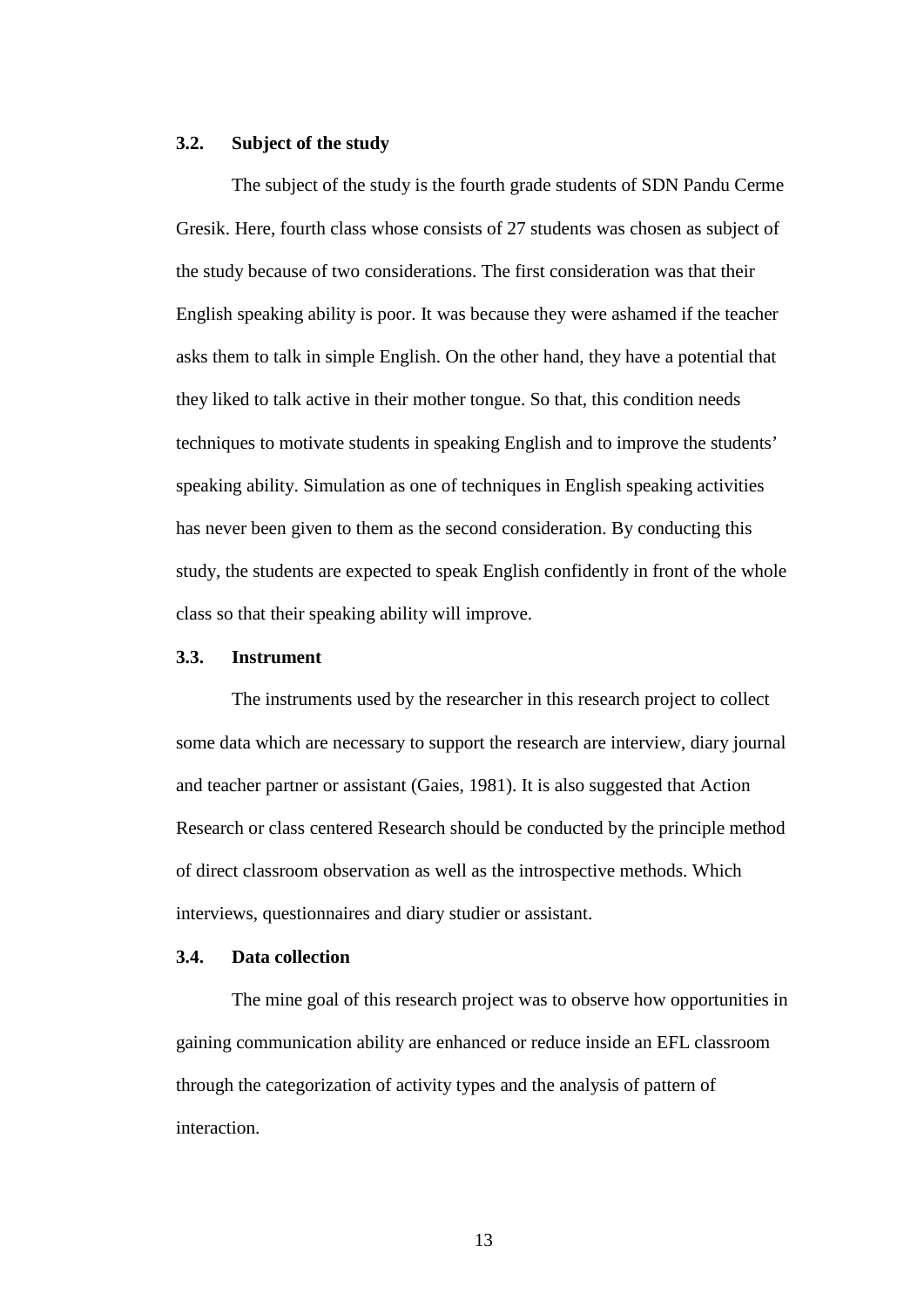#### **3.2. Subject of the study**

The subject of the study is the fourth grade students of SDN Pandu Cerme Gresik. Here, fourth class whose consists of 27 students was chosen as subject of the study because of two considerations. The first consideration was that their English speaking ability is poor. It was because they were ashamed if the teacher asks them to talk in simple English. On the other hand, they have a potential that they liked to talk active in their mother tongue. So that, this condition needs techniques to motivate students in speaking English and to improve the students' speaking ability. Simulation as one of techniques in English speaking activities has never been given to them as the second consideration. By conducting this study, the students are expected to speak English confidently in front of the whole class so that their speaking ability will improve.

# **3.3. Instrument**

The instruments used by the researcher in this research project to collect some data which are necessary to support the research are interview, diary journal and teacher partner or assistant (Gaies, 1981). It is also suggested that Action Research or class centered Research should be conducted by the principle method of direct classroom observation as well as the introspective methods. Which interviews, questionnaires and diary studier or assistant.

# **3.4. Data collection**

The mine goal of this research project was to observe how opportunities in gaining communication ability are enhanced or reduce inside an EFL classroom through the categorization of activity types and the analysis of pattern of interaction.

13